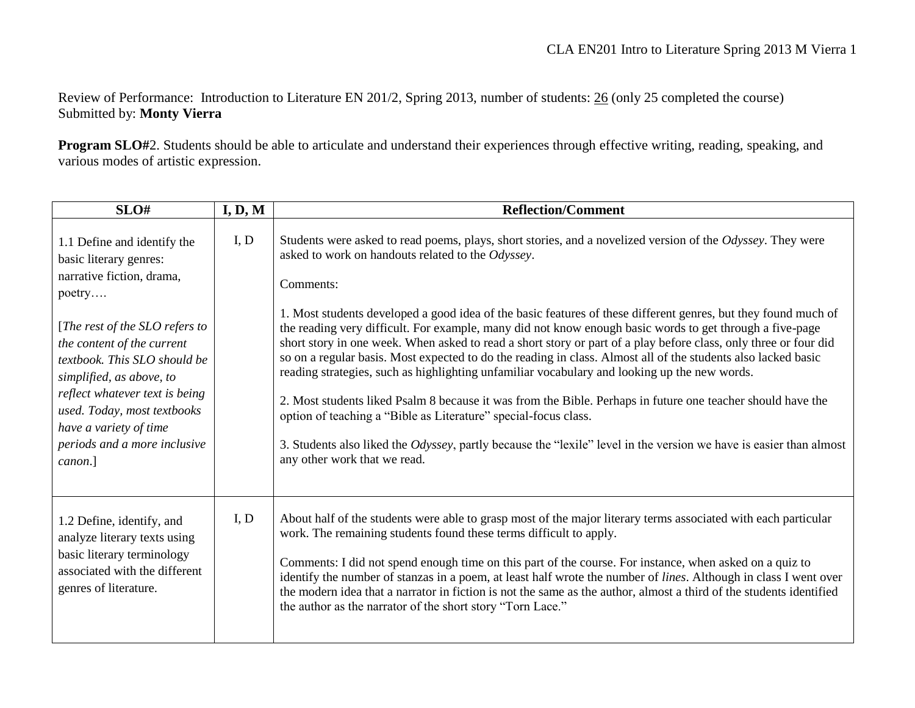Review of Performance: Introduction to Literature EN 201/2, Spring 2013, number of students: 26 (only 25 completed the course) Submitted by: **Monty Vierra**

**Program SLO#**2. Students should be able to articulate and understand their experiences through effective writing, reading, speaking, and various modes of artistic expression.

| SLO#                                                                                                                                                                                                                                                                                                                                                           | I, D, M | <b>Reflection/Comment</b>                                                                                                                                                                                                                                                                                                                                                                                                                                                                                                                                                                                                                                                                                                                                                                                                                                                                                                                                                                                                                                                               |
|----------------------------------------------------------------------------------------------------------------------------------------------------------------------------------------------------------------------------------------------------------------------------------------------------------------------------------------------------------------|---------|-----------------------------------------------------------------------------------------------------------------------------------------------------------------------------------------------------------------------------------------------------------------------------------------------------------------------------------------------------------------------------------------------------------------------------------------------------------------------------------------------------------------------------------------------------------------------------------------------------------------------------------------------------------------------------------------------------------------------------------------------------------------------------------------------------------------------------------------------------------------------------------------------------------------------------------------------------------------------------------------------------------------------------------------------------------------------------------------|
| 1.1 Define and identify the<br>basic literary genres:<br>narrative fiction, drama,<br>poetry<br>[The rest of the SLO refers to<br>the content of the current<br>textbook. This SLO should be<br>simplified, as above, to<br>reflect whatever text is being<br>used. Today, most textbooks<br>have a variety of time<br>periods and a more inclusive<br>canon.] | I, D    | Students were asked to read poems, plays, short stories, and a novelized version of the Odyssey. They were<br>asked to work on handouts related to the Odyssey.<br>Comments:<br>1. Most students developed a good idea of the basic features of these different genres, but they found much of<br>the reading very difficult. For example, many did not know enough basic words to get through a five-page<br>short story in one week. When asked to read a short story or part of a play before class, only three or four did<br>so on a regular basis. Most expected to do the reading in class. Almost all of the students also lacked basic<br>reading strategies, such as highlighting unfamiliar vocabulary and looking up the new words.<br>2. Most students liked Psalm 8 because it was from the Bible. Perhaps in future one teacher should have the<br>option of teaching a "Bible as Literature" special-focus class.<br>3. Students also liked the Odyssey, partly because the "lexile" level in the version we have is easier than almost<br>any other work that we read. |
| 1.2 Define, identify, and<br>analyze literary texts using<br>basic literary terminology<br>associated with the different<br>genres of literature.                                                                                                                                                                                                              | I, D    | About half of the students were able to grasp most of the major literary terms associated with each particular<br>work. The remaining students found these terms difficult to apply.<br>Comments: I did not spend enough time on this part of the course. For instance, when asked on a quiz to<br>identify the number of stanzas in a poem, at least half wrote the number of lines. Although in class I went over<br>the modern idea that a narrator in fiction is not the same as the author, almost a third of the students identified<br>the author as the narrator of the short story "Torn Lace."                                                                                                                                                                                                                                                                                                                                                                                                                                                                                |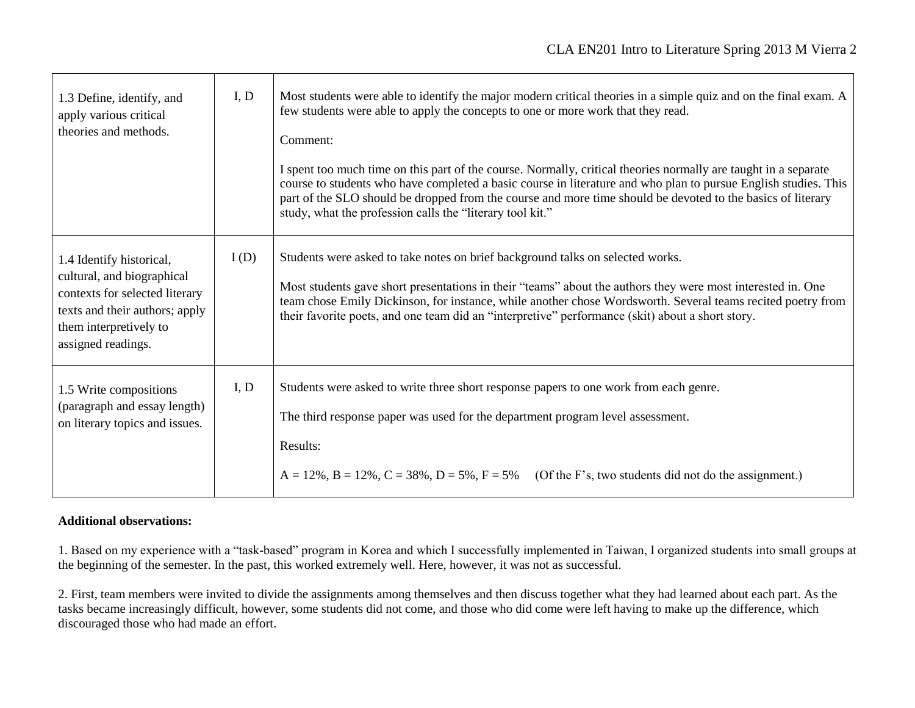| 1.3 Define, identify, and<br>apply various critical<br>theories and methods.                                                                                               | I, D | Most students were able to identify the major modern critical theories in a simple quiz and on the final exam. A<br>few students were able to apply the concepts to one or more work that they read.<br>Comment:<br>I spent too much time on this part of the course. Normally, critical theories normally are taught in a separate<br>course to students who have completed a basic course in literature and who plan to pursue English studies. This<br>part of the SLO should be dropped from the course and more time should be devoted to the basics of literary<br>study, what the profession calls the "literary tool kit." |
|----------------------------------------------------------------------------------------------------------------------------------------------------------------------------|------|------------------------------------------------------------------------------------------------------------------------------------------------------------------------------------------------------------------------------------------------------------------------------------------------------------------------------------------------------------------------------------------------------------------------------------------------------------------------------------------------------------------------------------------------------------------------------------------------------------------------------------|
| 1.4 Identify historical,<br>cultural, and biographical<br>contexts for selected literary<br>texts and their authors; apply<br>them interpretively to<br>assigned readings. | I(D) | Students were asked to take notes on brief background talks on selected works.<br>Most students gave short presentations in their "teams" about the authors they were most interested in. One<br>team chose Emily Dickinson, for instance, while another chose Wordsworth. Several teams recited poetry from<br>their favorite poets, and one team did an "interpretive" performance (skit) about a short story.                                                                                                                                                                                                                   |
| 1.5 Write compositions<br>(paragraph and essay length)<br>on literary topics and issues.                                                                                   | I, D | Students were asked to write three short response papers to one work from each genre.<br>The third response paper was used for the department program level assessment.<br>Results:<br>$A = 12\%$ , $B = 12\%$ , $C = 38\%$ , $D = 5\%$ , $F = 5\%$ (Of the F's, two students did not do the assignment.)                                                                                                                                                                                                                                                                                                                          |

## **Additional observations:**

1. Based on my experience with a "task-based" program in Korea and which I successfully implemented in Taiwan, I organized students into small groups at the beginning of the semester. In the past, this worked extremely well. Here, however, it was not as successful.

2. First, team members were invited to divide the assignments among themselves and then discuss together what they had learned about each part. As the tasks became increasingly difficult, however, some students did not come, and those who did come were left having to make up the difference, which discouraged those who had made an effort.